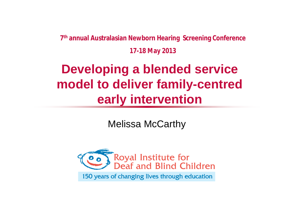**7 th annual Australasian Newborn Hearing Screening Conference 17-18 May 2013**

### **Developing a blended service model to deliver family-centred early intervention**

Melissa McCarthy

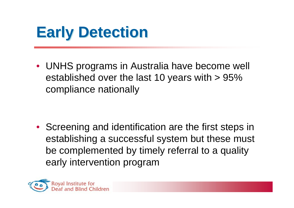### **Early Detection**

• UNHS programs in Australia have become well established over the last 10 years with > 95% compliance nationally

• Screening and identification are the first steps in establishing a successful system but these must be complemented by timely referral to a quality early intervention program

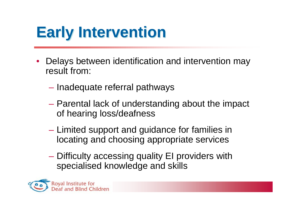### **Early Intervention**

- Delays between identification and intervention may result from:
	- Inadequate referral pathways
	- Parental lack of understanding about the impact of hearing loss/deafness
	- Limited support and guidance for families in locating and choosing appropriate services
	- Difficulty accessing quality EI providers with specialised knowledge and skills

**Royal Institute for** af and Blind Children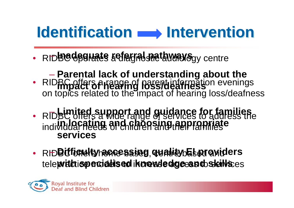### **Identification Antervention**

- · RIDBC OPSHALS & CLEGIAL PRATHWAYS gy centre
- RIDBC offers a range of parent information evenings on topics related to the impact of hearing loss/deafness – **Parental lack of understanding about the impact of hearing loss/deafness**
- RIDBC offers a wide range of services to address the individual needs of children and their families – **Limited support and guidance for families in locating and choosing appropriate services**
- RHD**Bittichelty hackessing quality Elergyiders** tele **with tepecialised iknowledge and skills** es

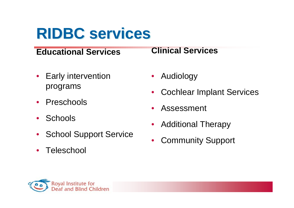### **RIDBC services**

#### **Educational Services**

- Early intervention programs
- Preschools
- Schools
- School Support Service
- Teleschool

#### **Clinical Services**

- Audiology
- Cochlear Implant Services
- **Assessment**
- Additional Therapy
- Community Support

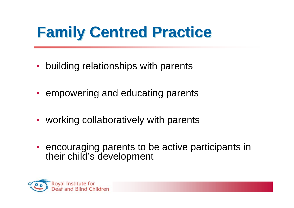### **Family Centred Practice**

- building relationships with parents
- empowering and educating parents
- working collaboratively with parents
- encouraging parents to be active participants in their child's development

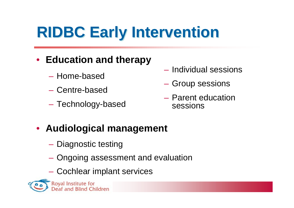# **RIDBC Early Intervention**

### • **Education and therapy**

- Home-based
- Centre-based
- Technology-based
- Individual sessions
- Group sessions
- Parent education sessions

### • **Audiological management**

- Diagnostic testing
- Ongoing assessment and evaluation
- Cochlear implant services

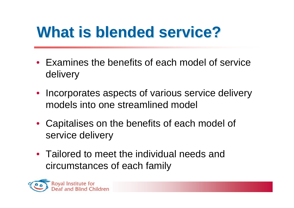### **What is blended service?**

- Examines the benefits of each model of service delivery
- Incorporates aspects of various service delivery models into one streamlined model
- Capitalises on the benefits of each model of service delivery
- Tailored to meet the individual needs and circumstances of each family

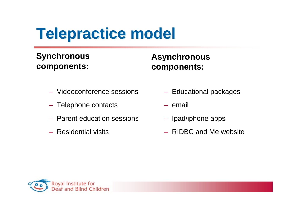## **Telepractice model**

#### **Synchronous components:**

#### **Asynchronous components:**

- Videoconference sessions
- Telephone contacts
- Parent education sessions
- Residential visits
- Educational packages
- email
- Ipad/iphone apps
- RIDBC and Me website

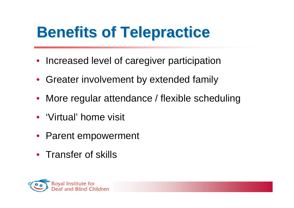### **Benefits of Telepractice**

- Increased level of caregiver participation
- Greater involvement by extended family
- More regular attendance / flexible scheduling
- 'Virtual' home visit
- Parent empowerment
- Transfer of skills

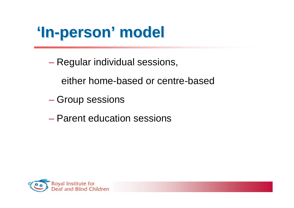### **'In-person' model**

- Regular individual sessions,
	- either home-based or centre-based
- Group sessions
- Parent education sessions

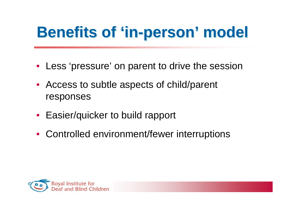## **Benefits of 'in-person' model**

- Less 'pressure' on parent to drive the session
- Access to subtle aspects of child/parent responses
- Easier/quicker to build rapport
- Controlled environment/fewer interruptions

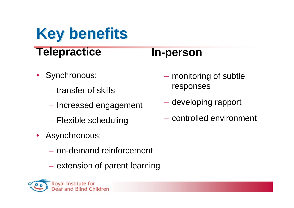### **Key benefits Telepractice**

### **In-person**

- Synchronous:
	- transfer of skills
	- Increased engagement
	- Flexible scheduling
- Asynchronous:
	- on-demand reinforcement
	- extension of parent learning



- monitoring of subtle responses
- developing rapport
- controlled environment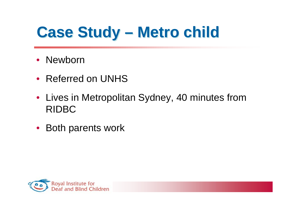- Newborn
- Referred on UNHS
- Lives in Metropolitan Sydney, 40 minutes from RIDBC
- Both parents work

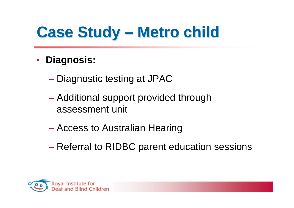- **Diagnosis:**
	- Diagnostic testing at JPAC
	- Additional support provided through assessment unit
	- Access to Australian Hearing
	- Referral to RIDBC parent education sessions

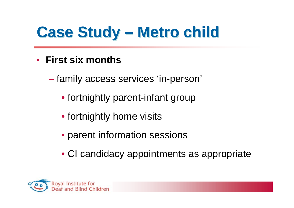- **First six months**
	- family access services 'in-person'
		- fortnightly parent-infant group
		- fortnightly home visits
		- parent information sessions
		- CI candidacy appointments as appropriate

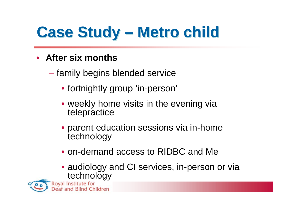- **After six months**
	- family begins blended service
		- fortnightly group 'in-person'
		- weekly home visits in the evening via telepractice
		- parent education sessions via in-home technology
		- on-demand access to RIDBC and Me
		- audiology and CI services, in-person or via technology<br>Royal Institute for

and Blind Children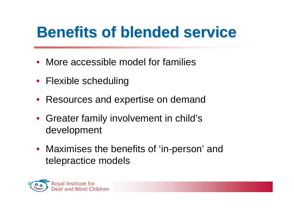### **Benefits of blended service**

- More accessible model for families
- Flexible scheduling
- Resources and expertise on demand
- Greater family involvement in child's development
- Maximises the benefits of 'in-person' and telepractice models

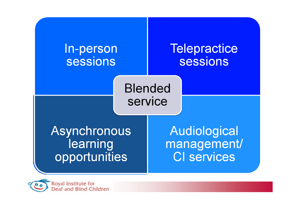